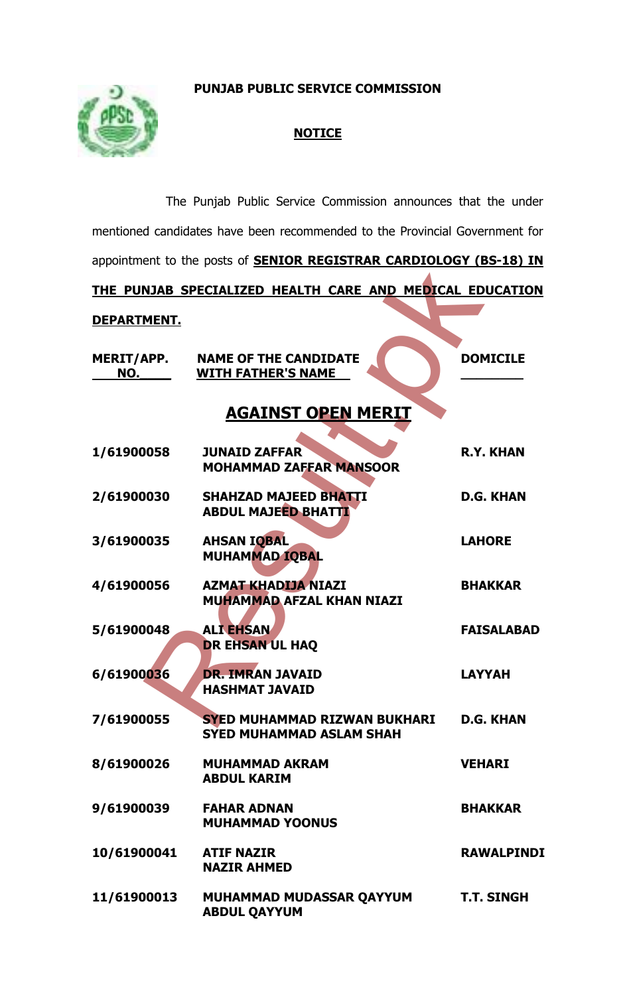**PUNJAB PUBLIC SERVICE COMMISSION**



## **NOTICE**

| The Punjab Public Service Commission announces that the under               |                                                                        |                   |
|-----------------------------------------------------------------------------|------------------------------------------------------------------------|-------------------|
| mentioned candidates have been recommended to the Provincial Government for |                                                                        |                   |
| appointment to the posts of <b>SENIOR REGISTRAR CARDIOLOGY (BS-18) IN</b>   |                                                                        |                   |
| THE PUNJAB SPECIALIZED HEALTH CARE AND MEDICAL EDUCATION                    |                                                                        |                   |
| DEPARTMENT.                                                                 |                                                                        |                   |
| <b>MERIT/APP.</b><br>NO.                                                    | <b>NAME OF THE CANDIDATE</b><br><b>WITH FATHER'S NAME</b>              | <b>DOMICILE</b>   |
| <b>AGAINST OPEN MERIT</b>                                                   |                                                                        |                   |
| 1/61900058                                                                  | <b>JUNAID ZAFFAR</b><br><b>MOHAMMAD ZAFFAR MANSOOR</b>                 | <b>R.Y. KHAN</b>  |
| 2/61900030                                                                  | <b>SHAHZAD MAJEED BHATTI</b><br><b>ABDUL MAJEED BHATTI</b>             | <b>D.G. KHAN</b>  |
| 3/61900035                                                                  | <b>AHSAN IQBAL</b><br><b>MUHAMMAD IQBAL</b>                            | <b>LAHORE</b>     |
| 4/61900056                                                                  | <b>AZMAT KHADIJA NIAZI</b><br><b>MUHAMMAD AFZAL KHAN NIAZI</b>         | <b>BHAKKAR</b>    |
| 5/61900048                                                                  | <b>ALI EHSAN</b><br><b>DR EHSAN UL HAQ</b>                             | <b>FAISALABAD</b> |
| 6/61900036                                                                  | <b>DR. IMRAN JAVAID</b><br><b>HASHMAT JAVAID</b>                       | <b>LAYYAH</b>     |
| 7/61900055                                                                  | <b>SYED MUHAMMAD RIZWAN BUKHARI</b><br><b>SYED MUHAMMAD ASLAM SHAH</b> | <b>D.G. KHAN</b>  |
| 8/61900026                                                                  | <b>MUHAMMAD AKRAM</b><br><b>ABDUL KARIM</b>                            | <b>VEHARI</b>     |
| 9/61900039                                                                  | <b>FAHAR ADNAN</b><br><b>MUHAMMAD YOONUS</b>                           | <b>BHAKKAR</b>    |
| 10/61900041                                                                 | <b>ATIF NAZIR</b><br><b>NAZIR AHMED</b>                                | <b>RAWALPINDI</b> |
| 11/61900013                                                                 | MUHAMMAD MUDASSAR QAYYUM<br><b>ABDUL QAYYUM</b>                        | <b>T.T. SINGH</b> |